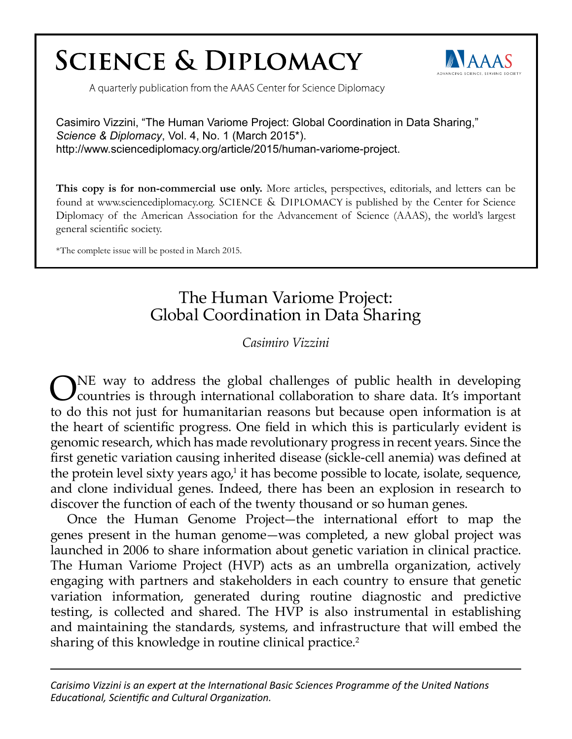# **SCIENCE & DIPLOMACY**



A quarterly publication from the AAAS Center for Science Diplomacy

Casimiro Vizzini, "The Human Variome Project: Global Coordination in Data Sharing," *Science & Diplomacy*, Vol. 4, No. 1 (March 2015\*). http://www.sciencediplomacy.org/article/2015/human-variome-project.

**This copy is for non-commercial use only.** More articles, perspectives, editorials, and letters can be found at www.sciencediplomacy.org. SCIENCE & DIPLOMACY is published by the Center for Science Diplomacy of the American Association for the Advancement of Science (AAAS), the world's largest general scientific society.

\*The complete issue will be posted in March 2015.

## The Human Variome Project: Global Coordination in Data Sharing

*Casimiro Vizzini*

ONE way to address the global challenges of public health in developing countries is through international collaboration to share data. It's important to do this not just for humanitarian reasons but because open information is at the heart of scientific progress. One field in which this is particularly evident is genomic research, which has made revolutionary progress in recent years. Since the first genetic variation causing inherited disease (sickle-cell anemia) was defined at the protein level sixty years ago,<sup>1</sup> it has become possible to locate, isolate, sequence, and clone individual genes. Indeed, there has been an explosion in research to discover the function of each of the twenty thousand or so human genes.

Once the Human Genome Project—the international effort to map the genes present in the human genome—was completed, a new global project was launched in 2006 to share information about genetic variation in clinical practice. The Human Variome Project (HVP) acts as an umbrella organization, actively engaging with partners and stakeholders in each country to ensure that genetic variation information, generated during routine diagnostic and predictive testing, is collected and shared. The HVP is also instrumental in establishing and maintaining the standards, systems, and infrastructure that will embed the sharing of this knowledge in routine clinical practice.<sup>2</sup>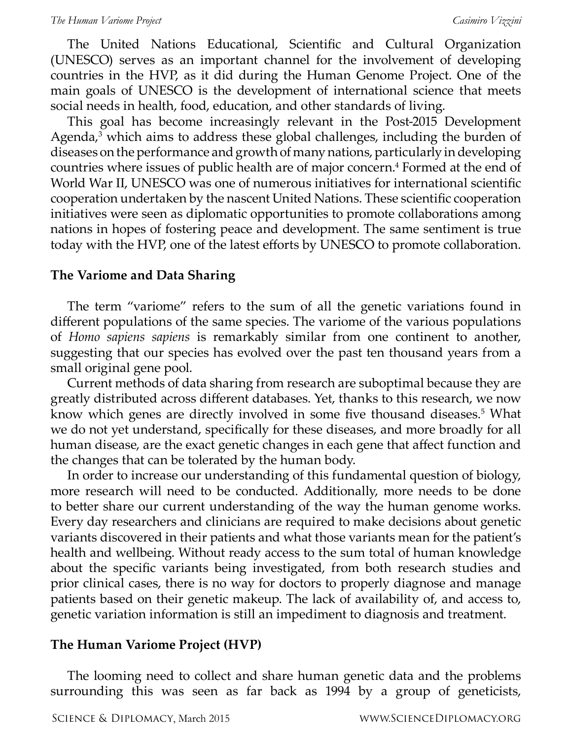The United Nations Educational, Scientific and Cultural Organization (UNESCO) serves as an important channel for the involvement of developing countries in the HVP, as it did during the Human Genome Project. One of the main goals of UNESCO is the development of international science that meets social needs in health, food, education, and other standards of living.

This goal has become increasingly relevant in the Post-2015 Development Agenda,<sup>3</sup> which aims to address these global challenges, including the burden of diseases on the performance and growth of many nations, particularly in developing countries where issues of public health are of major concern.<sup>4</sup> Formed at the end of World War II, UNESCO was one of numerous initiatives for international scientific cooperation undertaken by the nascent United Nations. These scientific cooperation initiatives were seen as diplomatic opportunities to promote collaborations among nations in hopes of fostering peace and development. The same sentiment is true today with the HVP, one of the latest efforts by UNESCO to promote collaboration.

### **The Variome and Data Sharing**

The term "variome" refers to the sum of all the genetic variations found in different populations of the same species. The variome of the various populations of *Homo sapiens sapiens* is remarkably similar from one continent to another, suggesting that our species has evolved over the past ten thousand years from a small original gene pool.

Current methods of data sharing from research are suboptimal because they are greatly distributed across different databases. Yet, thanks to this research, we now know which genes are directly involved in some five thousand diseases.<sup>5</sup> What we do not yet understand, specifically for these diseases, and more broadly for all human disease, are the exact genetic changes in each gene that affect function and the changes that can be tolerated by the human body.

In order to increase our understanding of this fundamental question of biology, more research will need to be conducted. Additionally, more needs to be done to better share our current understanding of the way the human genome works. Every day researchers and clinicians are required to make decisions about genetic variants discovered in their patients and what those variants mean for the patient's health and wellbeing. Without ready access to the sum total of human knowledge about the specific variants being investigated, from both research studies and prior clinical cases, there is no way for doctors to properly diagnose and manage patients based on their genetic makeup. The lack of availability of, and access to, genetic variation information is still an impediment to diagnosis and treatment.

#### **The Human Variome Project (HVP)**

The looming need to collect and share human genetic data and the problems surrounding this was seen as far back as 1994 by a group of geneticists,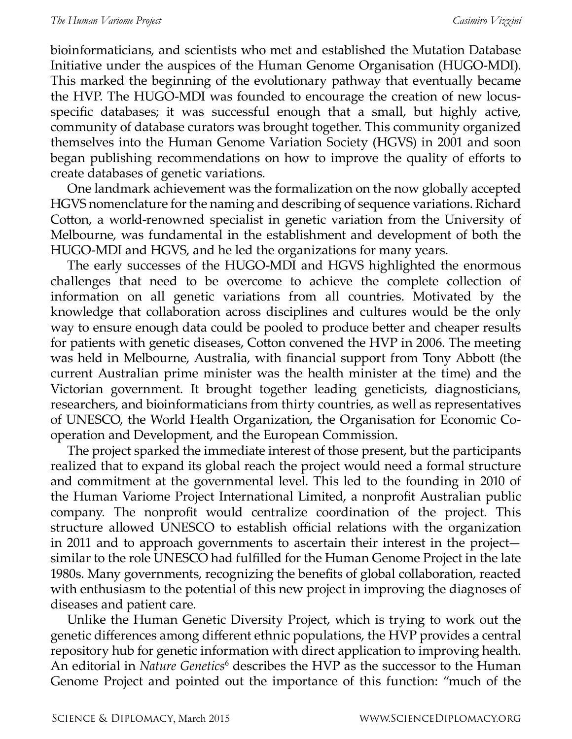bioinformaticians, and scientists who met and established the Mutation Database Initiative under the auspices of the Human Genome Organisation (HUGO-MDI). This marked the beginning of the evolutionary pathway that eventually became the HVP. The HUGO-MDI was founded to encourage the creation of new locusspecific databases; it was successful enough that a small, but highly active, community of database curators was brought together. This community organized themselves into the Human Genome Variation Society (HGVS) in 2001 and soon began publishing recommendations on how to improve the quality of efforts to create databases of genetic variations.

One landmark achievement was the formalization on the now globally accepted HGVS nomenclature for the naming and describing of sequence variations. Richard Cotton, a world-renowned specialist in genetic variation from the University of Melbourne, was fundamental in the establishment and development of both the HUGO-MDI and HGVS, and he led the organizations for many years.

The early successes of the HUGO-MDI and HGVS highlighted the enormous challenges that need to be overcome to achieve the complete collection of information on all genetic variations from all countries. Motivated by the knowledge that collaboration across disciplines and cultures would be the only way to ensure enough data could be pooled to produce better and cheaper results for patients with genetic diseases, Cotton convened the HVP in 2006. The meeting was held in Melbourne, Australia, with financial support from Tony Abbott (the current Australian prime minister was the health minister at the time) and the Victorian government. It brought together leading geneticists, diagnosticians, researchers, and bioinformaticians from thirty countries, as well as representatives of UNESCO, the World Health Organization, the Organisation for Economic Cooperation and Development, and the European Commission.

The project sparked the immediate interest of those present, but the participants realized that to expand its global reach the project would need a formal structure and commitment at the governmental level. This led to the founding in 2010 of the Human Variome Project International Limited, a nonprofit Australian public company. The nonprofit would centralize coordination of the project. This structure allowed UNESCO to establish official relations with the organization in 2011 and to approach governments to ascertain their interest in the project similar to the role UNESCO had fulfilled for the Human Genome Project in the late 1980s. Many governments, recognizing the benefits of global collaboration, reacted with enthusiasm to the potential of this new project in improving the diagnoses of diseases and patient care.

Unlike the Human Genetic Diversity Project, which is trying to work out the genetic differences among different ethnic populations, the HVP provides a central repository hub for genetic information with direct application to improving health. An editorial in *Nature Genetics*<sup>6</sup> describes the HVP as the successor to the Human Genome Project and pointed out the importance of this function: "much of the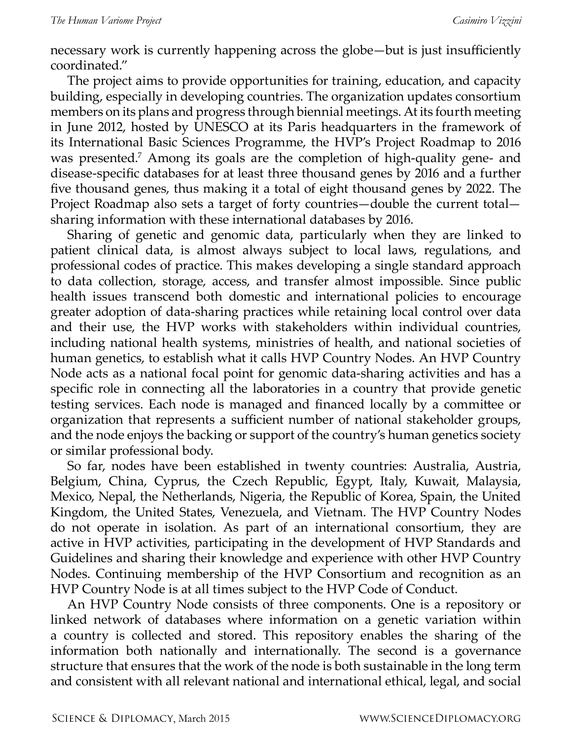necessary work is currently happening across the globe—but is just insufficiently coordinated."

The project aims to provide opportunities for training, education, and capacity building, especially in developing countries. The organization updates consortium members on its plans and progress through biennial meetings. At its fourth meeting in June 2012, hosted by UNESCO at its Paris headquarters in the framework of its International Basic Sciences Programme, the HVP's Project Roadmap to 2016 was presented.<sup>7</sup> Among its goals are the completion of high-quality gene- and disease-specific databases for at least three thousand genes by 2016 and a further five thousand genes, thus making it a total of eight thousand genes by 2022. The Project Roadmap also sets a target of forty countries—double the current total sharing information with these international databases by 2016.

Sharing of genetic and genomic data, particularly when they are linked to patient clinical data, is almost always subject to local laws, regulations, and professional codes of practice. This makes developing a single standard approach to data collection, storage, access, and transfer almost impossible. Since public health issues transcend both domestic and international policies to encourage greater adoption of data-sharing practices while retaining local control over data and their use, the HVP works with stakeholders within individual countries, including national health systems, ministries of health, and national societies of human genetics, to establish what it calls HVP Country Nodes. An HVP Country Node acts as a national focal point for genomic data-sharing activities and has a specific role in connecting all the laboratories in a country that provide genetic testing services. Each node is managed and financed locally by a committee or organization that represents a sufficient number of national stakeholder groups, and the node enjoys the backing or support of the country's human genetics society or similar professional body.

So far, nodes have been established in twenty countries: Australia, Austria, Belgium, China, Cyprus, the Czech Republic, Egypt, Italy, Kuwait, Malaysia, Mexico, Nepal, the Netherlands, Nigeria, the Republic of Korea, Spain, the United Kingdom, the United States, Venezuela, and Vietnam. The HVP Country Nodes do not operate in isolation. As part of an international consortium, they are active in HVP activities, participating in the development of HVP Standards and Guidelines and sharing their knowledge and experience with other HVP Country Nodes. Continuing membership of the HVP Consortium and recognition as an HVP Country Node is at all times subject to the HVP Code of Conduct.

An HVP Country Node consists of three components. One is a repository or linked network of databases where information on a genetic variation within a country is collected and stored. This repository enables the sharing of the information both nationally and internationally. The second is a governance structure that ensures that the work of the node is both sustainable in the long term and consistent with all relevant national and international ethical, legal, and social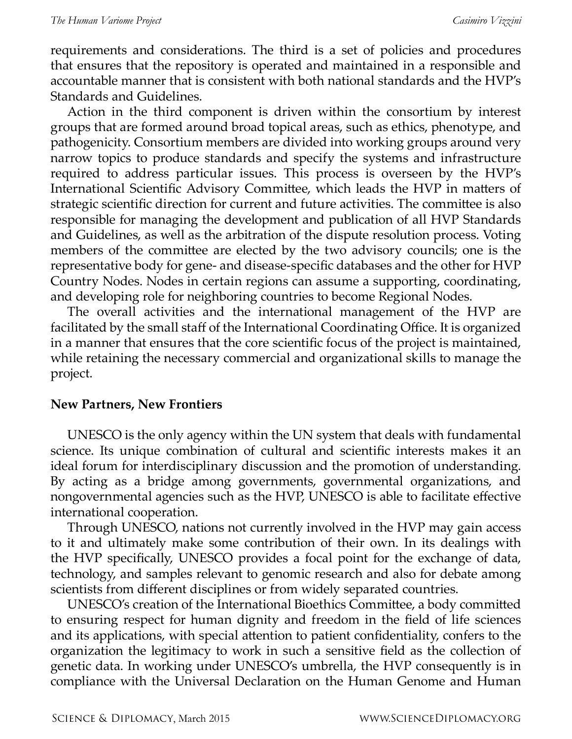requirements and considerations. The third is a set of policies and procedures that ensures that the repository is operated and maintained in a responsible and accountable manner that is consistent with both national standards and the HVP's Standards and Guidelines.

Action in the third component is driven within the consortium by interest groups that are formed around broad topical areas, such as ethics, phenotype, and pathogenicity. Consortium members are divided into working groups around very narrow topics to produce standards and specify the systems and infrastructure required to address particular issues. This process is overseen by the HVP's International Scientific Advisory Committee, which leads the HVP in matters of strategic scientific direction for current and future activities. The committee is also responsible for managing the development and publication of all HVP Standards and Guidelines, as well as the arbitration of the dispute resolution process. Voting members of the committee are elected by the two advisory councils; one is the representative body for gene- and disease-specific databases and the other for HVP Country Nodes. Nodes in certain regions can assume a supporting, coordinating, and developing role for neighboring countries to become Regional Nodes.

The overall activities and the international management of the HVP are facilitated by the small staff of the International Coordinating Office. It is organized in a manner that ensures that the core scientific focus of the project is maintained, while retaining the necessary commercial and organizational skills to manage the project.

### **New Partners, New Frontiers**

UNESCO is the only agency within the UN system that deals with fundamental science. Its unique combination of cultural and scientific interests makes it an ideal forum for interdisciplinary discussion and the promotion of understanding. By acting as a bridge among governments, governmental organizations, and nongovernmental agencies such as the HVP, UNESCO is able to facilitate effective international cooperation.

Through UNESCO, nations not currently involved in the HVP may gain access to it and ultimately make some contribution of their own. In its dealings with the HVP specifically, UNESCO provides a focal point for the exchange of data, technology, and samples relevant to genomic research and also for debate among scientists from different disciplines or from widely separated countries.

UNESCO's creation of the International Bioethics Committee, a body committed to ensuring respect for human dignity and freedom in the field of life sciences and its applications, with special attention to patient confidentiality, confers to the organization the legitimacy to work in such a sensitive field as the collection of genetic data. In working under UNESCO's umbrella, the HVP consequently is in compliance with the Universal Declaration on the Human Genome and Human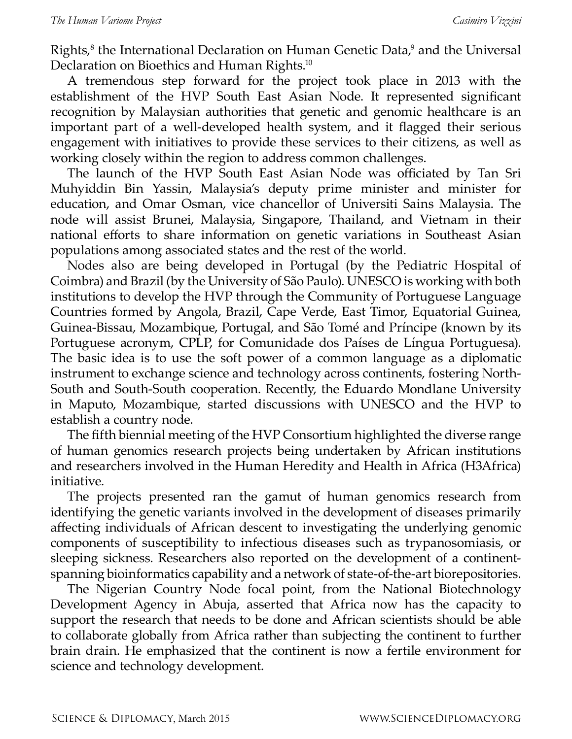Rights,<sup>8</sup> the International Declaration on Human Genetic Data,<sup>9</sup> and the Universal Declaration on Bioethics and Human Rights.<sup>10</sup>

A tremendous step forward for the project took place in 2013 with the establishment of the HVP South East Asian Node. It represented significant recognition by Malaysian authorities that genetic and genomic healthcare is an important part of a well-developed health system, and it flagged their serious engagement with initiatives to provide these services to their citizens, as well as working closely within the region to address common challenges.

The launch of the HVP South East Asian Node was officiated by Tan Sri Muhyiddin Bin Yassin, Malaysia's deputy prime minister and minister for education, and Omar Osman, vice chancellor of Universiti Sains Malaysia. The node will assist Brunei, Malaysia, Singapore, Thailand, and Vietnam in their national efforts to share information on genetic variations in Southeast Asian populations among associated states and the rest of the world.

Nodes also are being developed in Portugal (by the Pediatric Hospital of Coimbra) and Brazil (by the University of São Paulo). UNESCO is working with both institutions to develop the HVP through the Community of Portuguese Language Countries formed by Angola, Brazil, Cape Verde, East Timor, Equatorial Guinea, Guinea-Bissau, Mozambique, Portugal, and São Tomé and Príncipe (known by its Portuguese acronym, CPLP, for Comunidade dos Países de Língua Portuguesa). The basic idea is to use the soft power of a common language as a diplomatic instrument to exchange science and technology across continents, fostering North-South and South-South cooperation. Recently, the Eduardo Mondlane University in Maputo, Mozambique, started discussions with UNESCO and the HVP to establish a country node.

The fifth biennial meeting of the HVP Consortium highlighted the diverse range of human genomics research projects being undertaken by African institutions and researchers involved in the Human Heredity and Health in Africa (H3Africa) initiative.

The projects presented ran the gamut of human genomics research from identifying the genetic variants involved in the development of diseases primarily affecting individuals of African descent to investigating the underlying genomic components of susceptibility to infectious diseases such as trypanosomiasis, or sleeping sickness. Researchers also reported on the development of a continentspanning bioinformatics capability and a network of state-of-the-art biorepositories.

The Nigerian Country Node focal point, from the National Biotechnology Development Agency in Abuja, asserted that Africa now has the capacity to support the research that needs to be done and African scientists should be able to collaborate globally from Africa rather than subjecting the continent to further brain drain. He emphasized that the continent is now a fertile environment for science and technology development.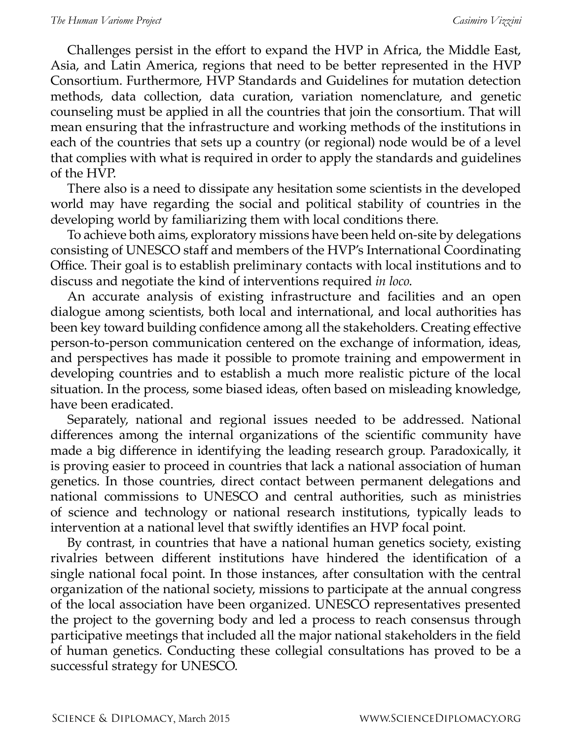Challenges persist in the effort to expand the HVP in Africa, the Middle East, Asia, and Latin America, regions that need to be better represented in the HVP Consortium. Furthermore, HVP Standards and Guidelines for mutation detection methods, data collection, data curation, variation nomenclature, and genetic counseling must be applied in all the countries that join the consortium. That will mean ensuring that the infrastructure and working methods of the institutions in each of the countries that sets up a country (or regional) node would be of a level that complies with what is required in order to apply the standards and guidelines of the HVP.

There also is a need to dissipate any hesitation some scientists in the developed world may have regarding the social and political stability of countries in the developing world by familiarizing them with local conditions there.

To achieve both aims, exploratory missions have been held on-site by delegations consisting of UNESCO staff and members of the HVP's International Coordinating Office. Their goal is to establish preliminary contacts with local institutions and to discuss and negotiate the kind of interventions required *in loco*.

An accurate analysis of existing infrastructure and facilities and an open dialogue among scientists, both local and international, and local authorities has been key toward building confidence among all the stakeholders. Creating effective person-to-person communication centered on the exchange of information, ideas, and perspectives has made it possible to promote training and empowerment in developing countries and to establish a much more realistic picture of the local situation. In the process, some biased ideas, often based on misleading knowledge, have been eradicated.

Separately, national and regional issues needed to be addressed. National differences among the internal organizations of the scientific community have made a big difference in identifying the leading research group. Paradoxically, it is proving easier to proceed in countries that lack a national association of human genetics. In those countries, direct contact between permanent delegations and national commissions to UNESCO and central authorities, such as ministries of science and technology or national research institutions, typically leads to intervention at a national level that swiftly identifies an HVP focal point.

By contrast, in countries that have a national human genetics society, existing rivalries between different institutions have hindered the identification of a single national focal point. In those instances, after consultation with the central organization of the national society, missions to participate at the annual congress of the local association have been organized. UNESCO representatives presented the project to the governing body and led a process to reach consensus through participative meetings that included all the major national stakeholders in the field of human genetics. Conducting these collegial consultations has proved to be a successful strategy for UNESCO.